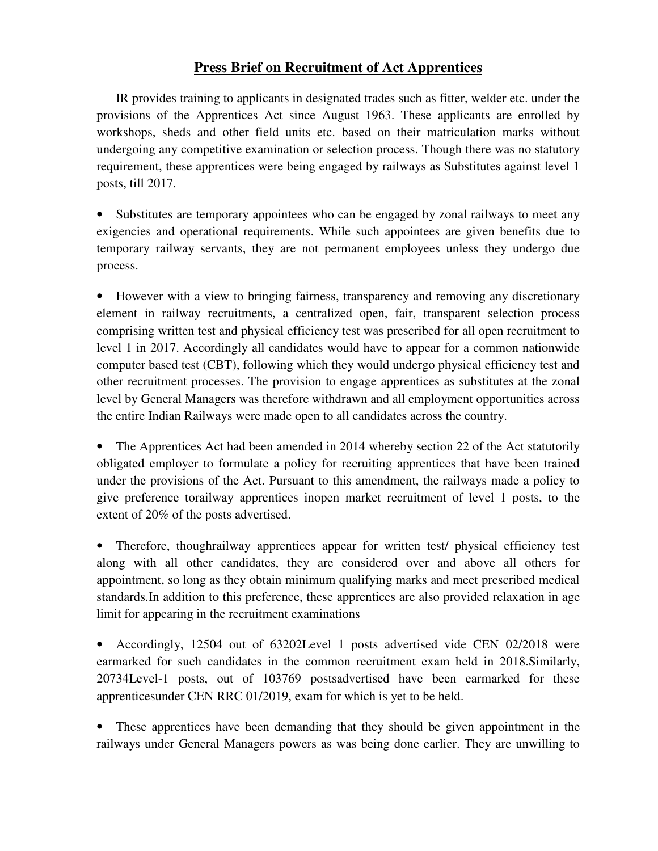## **Press Brief on Recruitment of Act Apprentices**

IR provides training to applicants in designated trades such as fitter, welder etc. under the provisions of the Apprentices Act since August 1963. These applicants are enrolled by workshops, sheds and other field units etc. based on their matriculation marks without undergoing any competitive examination or selection process. Though there was no statutory requirement, these apprentices were being engaged by railways as Substitutes against level 1 posts, till 2017.

Substitutes are temporary appointees who can be engaged by zonal railways to meet any exigencies and operational requirements. While such appointees are given benefits due to temporary railway servants, they are not permanent employees unless they undergo due process.

• However with a view to bringing fairness, transparency and removing any discretionary element in railway recruitments, a centralized open, fair, transparent selection process comprising written test and physical efficiency test was prescribed for all open recruitment to level 1 in 2017. Accordingly all candidates would have to appear for a common nationwide computer based test (CBT), following which they would undergo physical efficiency test and other recruitment processes. The provision to engage apprentices as substitutes at the zonal level by General Managers was therefore withdrawn and all employment opportunities across the entire Indian Railways were made open to all candidates across the country.

• The Apprentices Act had been amended in 2014 whereby section 22 of the Act statutorily obligated employer to formulate a policy for recruiting apprentices that have been trained under the provisions of the Act. Pursuant to this amendment, the railways made a policy to give preference torailway apprentices inopen market recruitment of level 1 posts, to the extent of 20% of the posts advertised.

• Therefore, thoughrailway apprentices appear for written test/ physical efficiency test along with all other candidates, they are considered over and above all others for appointment, so long as they obtain minimum qualifying marks and meet prescribed medical standards.In addition to this preference, these apprentices are also provided relaxation in age limit for appearing in the recruitment examinations

• Accordingly, 12504 out of 63202Level 1 posts advertised vide CEN 02/2018 were earmarked for such candidates in the common recruitment exam held in 2018.Similarly, 20734Level-1 posts, out of 103769 postsadvertised have been earmarked for these apprenticesunder CEN RRC 01/2019, exam for which is yet to be held.

• These apprentices have been demanding that they should be given appointment in the railways under General Managers powers as was being done earlier. They are unwilling to